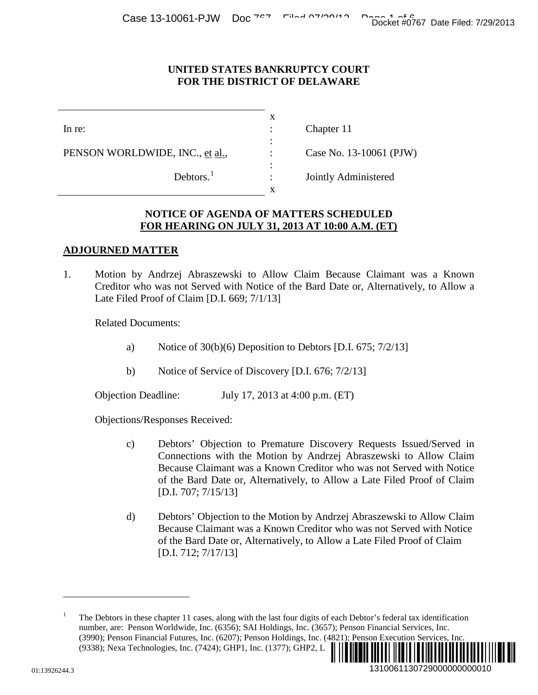No. 13-10061 (PJW)

#### **UNITED STATES BANKRUPTCY COURT FOR THE DISTRICT OF DELAWARE**

| In re:                          | Chapter 11           |
|---------------------------------|----------------------|
|                                 |                      |
| PENSON WORLDWIDE, INC., et al., | Case No. 13-10061 (I |
|                                 |                      |
| Debtors. $1$                    | Jointly Administered |
|                                 |                      |

#### **NOTICE OF AGENDA OF MATTERS SCHEDULED FOR HEARING ON JULY 31, 2013 AT 10:00 A.M. (ET)**

# **ADJOURNED MATTER**

1. Motion by Andrzej Abraszewski to Allow Claim Because Claimant was a Known Creditor who was not Served with Notice of the Bard Date or, Alternatively, to Allow a Late Filed Proof of Claim [D.I. 669; 7/1/13]

Related Documents:

- a) Notice of  $30(b)(6)$  Deposition to Debtors [D.I. 675; 7/2/13]
- b) Notice of Service of Discovery [D.I. 676; 7/2/13]

Objection Deadline: July 17, 2013 at 4:00 p.m. (ET)

Objections/Responses Received:

- c) Debtors' Objection to Premature Discovery Requests Issued/Served in Connections with the Motion by Andrzej Abraszewski to Allow Claim Because Claimant was a Known Creditor who was not Served with Notice of the Bard Date or, Alternatively, to Allow a Late Filed Proof of Claim [D.I. 707; 7/15/13] 1310061130729000000000010 Docket #0767 Date Filed: 7/29/2013
- d) Debtors' Objection to the Motion by Andrzej Abraszewski to Allow Claim Because Claimant was a Known Creditor who was not Served with Notice of the Bard Date or, Alternatively, to Allow a Late Filed Proof of Claim [D.I. 712; 7/17/13]

 $\overline{a}$ 

<span id="page-0-0"></span><sup>1</sup> The Debtors in these chapter 11 cases, along with the last four digits of each Debtor's federal tax identification number, are: Penson Worldwide, Inc. (6356); SAI Holdings, Inc. (3657); Penson Financial Services, Inc. (3990); Penson Financial Futures, Inc. (6207); Penson Holdings, Inc. (4821); Penson Execution Services, Inc. (9338); Nexa Technologies, Inc. (7424); GHP1, Inc. (1377); GHP2, L ¨1¤? ]-'= \*r«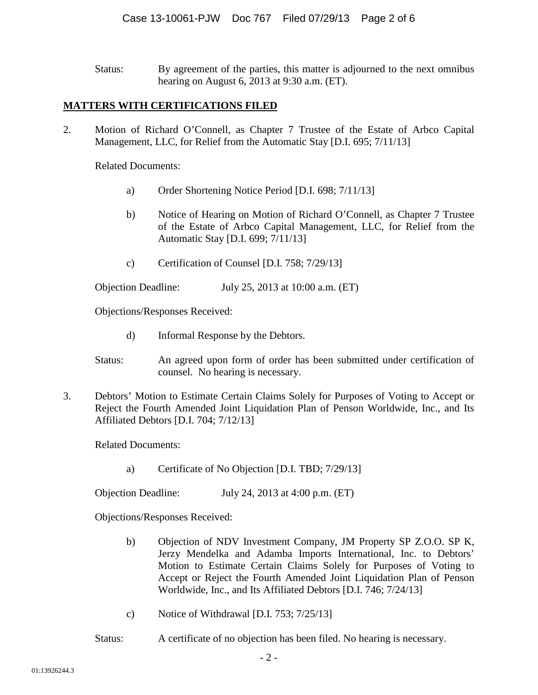Status: By agreement of the parties, this matter is adjourned to the next omnibus hearing on August 6, 2013 at 9:30 a.m. (ET).

## **MATTERS WITH CERTIFICATIONS FILED**

2. Motion of Richard O'Connell, as Chapter 7 Trustee of the Estate of Arbco Capital Management, LLC, for Relief from the Automatic Stay [D.I. 695; 7/11/13]

Related Documents:

- a) Order Shortening Notice Period [D.I. 698; 7/11/13]
- b) Notice of Hearing on Motion of Richard O'Connell, as Chapter 7 Trustee of the Estate of Arbco Capital Management, LLC, for Relief from the Automatic Stay [D.I. 699; 7/11/13]
- c) Certification of Counsel [D.I. 758; 7/29/13]

Objection Deadline: July 25, 2013 at 10:00 a.m. (ET)

Objections/Responses Received:

- d) Informal Response by the Debtors.
- Status: An agreed upon form of order has been submitted under certification of counsel. No hearing is necessary.
- 3. Debtors' Motion to Estimate Certain Claims Solely for Purposes of Voting to Accept or Reject the Fourth Amended Joint Liquidation Plan of Penson Worldwide, Inc., and Its Affiliated Debtors [D.I. 704; 7/12/13]

Related Documents:

a) Certificate of No Objection [D.I. TBD; 7/29/13]

Objection Deadline: July 24, 2013 at 4:00 p.m. (ET)

Objections/Responses Received:

- b) Objection of NDV Investment Company, JM Property SP Z.O.O. SP K, Jerzy Mendelka and Adamba Imports International, Inc. to Debtors' Motion to Estimate Certain Claims Solely for Purposes of Voting to Accept or Reject the Fourth Amended Joint Liquidation Plan of Penson Worldwide, Inc., and Its Affiliated Debtors [D.I. 746; 7/24/13]
- c) Notice of Withdrawal [D.I. 753; 7/25/13]

Status: A certificate of no objection has been filed. No hearing is necessary.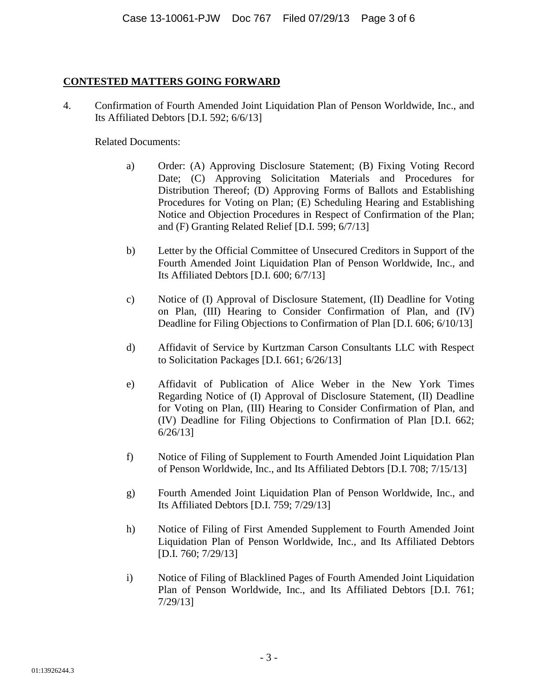# **CONTESTED MATTERS GOING FORWARD**

4. Confirmation of Fourth Amended Joint Liquidation Plan of Penson Worldwide, Inc., and Its Affiliated Debtors [D.I. 592; 6/6/13]

## Related Documents:

- a) Order: (A) Approving Disclosure Statement; (B) Fixing Voting Record Date; (C) Approving Solicitation Materials and Procedures for Distribution Thereof; (D) Approving Forms of Ballots and Establishing Procedures for Voting on Plan; (E) Scheduling Hearing and Establishing Notice and Objection Procedures in Respect of Confirmation of the Plan; and (F) Granting Related Relief [D.I. 599; 6/7/13]
- b) Letter by the Official Committee of Unsecured Creditors in Support of the Fourth Amended Joint Liquidation Plan of Penson Worldwide, Inc., and Its Affiliated Debtors [D.I. 600; 6/7/13]
- c) Notice of (I) Approval of Disclosure Statement, (II) Deadline for Voting on Plan, (III) Hearing to Consider Confirmation of Plan, and (IV) Deadline for Filing Objections to Confirmation of Plan [D.I. 606; 6/10/13]
- d) Affidavit of Service by Kurtzman Carson Consultants LLC with Respect to Solicitation Packages [D.I. 661; 6/26/13]
- e) Affidavit of Publication of Alice Weber in the New York Times Regarding Notice of (I) Approval of Disclosure Statement, (II) Deadline for Voting on Plan, (III) Hearing to Consider Confirmation of Plan, and (IV) Deadline for Filing Objections to Confirmation of Plan [D.I. 662; 6/26/13]
- f) Notice of Filing of Supplement to Fourth Amended Joint Liquidation Plan of Penson Worldwide, Inc., and Its Affiliated Debtors [D.I. 708; 7/15/13]
- g) Fourth Amended Joint Liquidation Plan of Penson Worldwide, Inc., and Its Affiliated Debtors [D.I. 759; 7/29/13]
- h) Notice of Filing of First Amended Supplement to Fourth Amended Joint Liquidation Plan of Penson Worldwide, Inc., and Its Affiliated Debtors [D.I. 760; 7/29/13]
- i) Notice of Filing of Blacklined Pages of Fourth Amended Joint Liquidation Plan of Penson Worldwide, Inc., and Its Affiliated Debtors [D.I. 761; 7/29/13]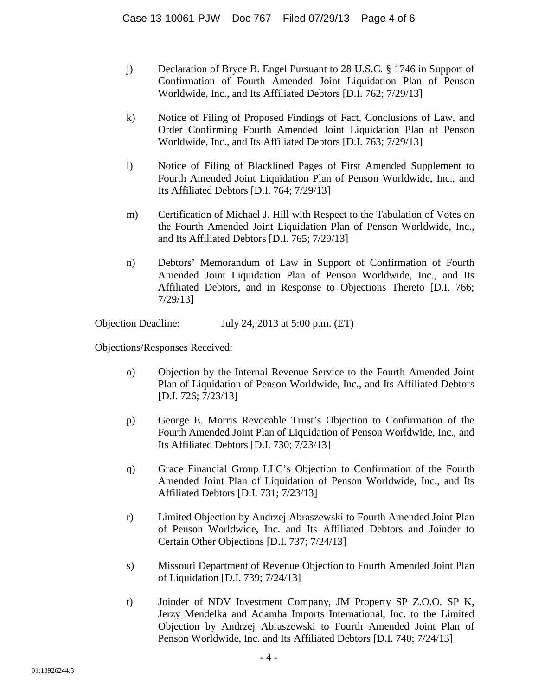- j) Declaration of Bryce B. Engel Pursuant to 28 U.S.C. § 1746 in Support of Confirmation of Fourth Amended Joint Liquidation Plan of Penson Worldwide, Inc., and Its Affiliated Debtors [D.I. 762; 7/29/13]
- k) Notice of Filing of Proposed Findings of Fact, Conclusions of Law, and Order Confirming Fourth Amended Joint Liquidation Plan of Penson Worldwide, Inc., and Its Affiliated Debtors [D.I. 763; 7/29/13]
- l) Notice of Filing of Blacklined Pages of First Amended Supplement to Fourth Amended Joint Liquidation Plan of Penson Worldwide, Inc., and Its Affiliated Debtors [D.I. 764; 7/29/13]
- m) Certification of Michael J. Hill with Respect to the Tabulation of Votes on the Fourth Amended Joint Liquidation Plan of Penson Worldwide, Inc., and Its Affiliated Debtors [D.I. 765; 7/29/13]
- n) Debtors' Memorandum of Law in Support of Confirmation of Fourth Amended Joint Liquidation Plan of Penson Worldwide, Inc., and Its Affiliated Debtors, and in Response to Objections Thereto [D.I. 766; 7/29/13]

Objection Deadline: July 24, 2013 at 5:00 p.m. (ET)

Objections/Responses Received:

- o) Objection by the Internal Revenue Service to the Fourth Amended Joint Plan of Liquidation of Penson Worldwide, Inc., and Its Affiliated Debtors [D.I. 726; 7/23/13]
- p) George E. Morris Revocable Trust's Objection to Confirmation of the Fourth Amended Joint Plan of Liquidation of Penson Worldwide, Inc., and Its Affiliated Debtors [D.I. 730; 7/23/13]
- q) Grace Financial Group LLC's Objection to Confirmation of the Fourth Amended Joint Plan of Liquidation of Penson Worldwide, Inc., and Its Affiliated Debtors [D.I. 731; 7/23/13]
- r) Limited Objection by Andrzej Abraszewski to Fourth Amended Joint Plan of Penson Worldwide, Inc. and Its Affiliated Debtors and Joinder to Certain Other Objections [D.I. 737; 7/24/13]
- s) Missouri Department of Revenue Objection to Fourth Amended Joint Plan of Liquidation [D.I. 739; 7/24/13]
- t) Joinder of NDV Investment Company, JM Property SP Z.O.O. SP K, Jerzy Mendelka and Adamba Imports International, Inc. to the Limited Objection by Andrzej Abraszewski to Fourth Amended Joint Plan of Penson Worldwide, Inc. and Its Affiliated Debtors [D.I. 740; 7/24/13]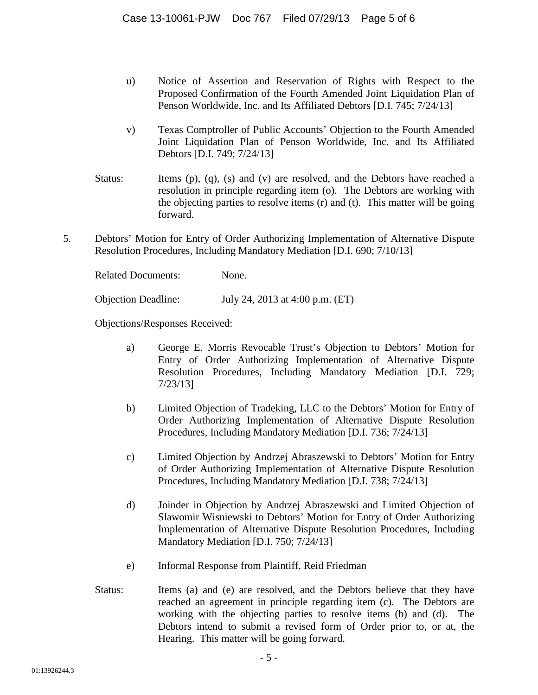- u) Notice of Assertion and Reservation of Rights with Respect to the Proposed Confirmation of the Fourth Amended Joint Liquidation Plan of Penson Worldwide, Inc. and Its Affiliated Debtors [D.I. 745; 7/24/13]
- v) Texas Comptroller of Public Accounts' Objection to the Fourth Amended Joint Liquidation Plan of Penson Worldwide, Inc. and Its Affiliated Debtors [D.I. 749; 7/24/13]
- Status: Items (p), (q), (s) and (v) are resolved, and the Debtors have reached a resolution in principle regarding item (o). The Debtors are working with the objecting parties to resolve items (r) and (t). This matter will be going forward.
- 5. Debtors' Motion for Entry of Order Authorizing Implementation of Alternative Dispute Resolution Procedures, Including Mandatory Mediation [D.I. 690; 7/10/13]

Related Documents: None. Objection Deadline: July 24, 2013 at 4:00 p.m. (ET)

Objections/Responses Received:

- a) George E. Morris Revocable Trust's Objection to Debtors' Motion for Entry of Order Authorizing Implementation of Alternative Dispute Resolution Procedures, Including Mandatory Mediation [D.I. 729; 7/23/13]
- b) Limited Objection of Tradeking, LLC to the Debtors' Motion for Entry of Order Authorizing Implementation of Alternative Dispute Resolution Procedures, Including Mandatory Mediation [D.I. 736; 7/24/13]
- c) Limited Objection by Andrzej Abraszewski to Debtors' Motion for Entry of Order Authorizing Implementation of Alternative Dispute Resolution Procedures, Including Mandatory Mediation [D.I. 738; 7/24/13]
- d) Joinder in Objection by Andrzej Abraszewski and Limited Objection of Slawomir Wisniewski to Debtors' Motion for Entry of Order Authorizing Implementation of Alternative Dispute Resolution Procedures, Including Mandatory Mediation [D.I. 750; 7/24/13]
- e) Informal Response from Plaintiff, Reid Friedman
- Status: Items (a) and (e) are resolved, and the Debtors believe that they have reached an agreement in principle regarding item (c). The Debtors are working with the objecting parties to resolve items (b) and (d). The Debtors intend to submit a revised form of Order prior to, or at, the Hearing. This matter will be going forward.